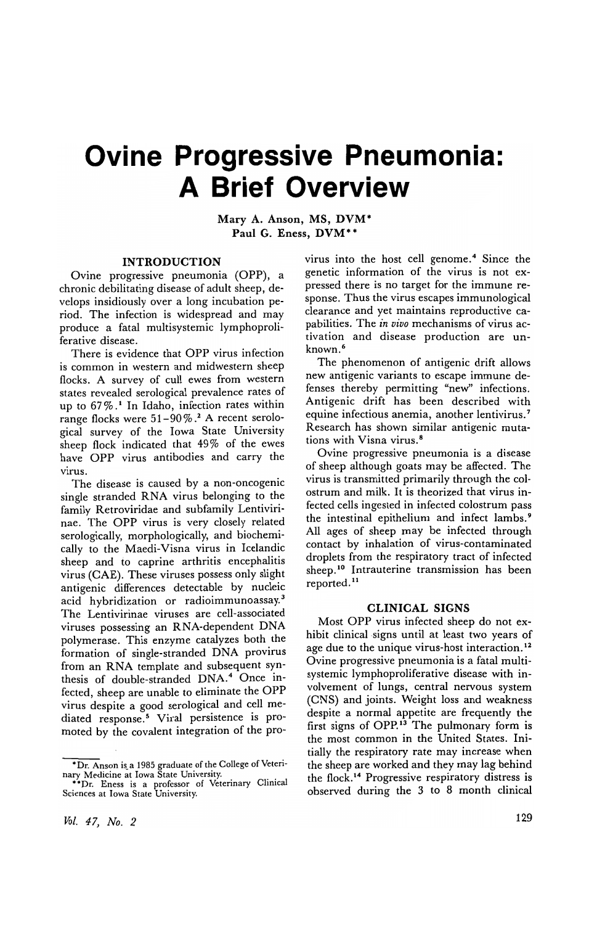# **Ovine Progressive Pneumonia: A Brief Overview**

Mary A. Anson, MS, DVM· Paul G. Eness, DVM\*\*

#### INTRODUCTION

Ovine progressive pneumonia (OPP), a chronic debilitating disease of adult sheep, develops insidiously over a long incubation period. The infection is widespread and may produce a fatal multisystemic lymphoproliferative disease.

There is evidence that OPP virus infection is common in western and midwestern sheep flocks. A survey of cull ewes from western states revealed serological prevalence rates of up to  $67\%$ .<sup>1</sup> In Idaho, infection rates within range flocks were 51-90%.<sup>2</sup> A recent serological survey of the Iowa State University sheep flock indicated that 49% of the ewes have OPP virus antibodies and carry the virus.

The disease is caused by a non-oncogenic single stranded RNA virus belonging to the family Retroviridae and subfamily Lentivirinae. The OPP virus is very closely related serologically, morphologically, and biochemically to the Maedi-Visna virus in Icelandic sheep and to caprine arthritis encephalitis virus (CAE). These viruses possess only slight antigenic differences detectable by nucleic acid hybridization or radioimmunoassay.3 The Lentivirinae viruses are cell-associated viruses possessing an RNA-dependent DNA polymerase. This enzyme catalyzes both the formation of single-stranded DNA provirus from an RNA template and subsequent synthesis of double-stranded DNA.4 Once infected, sheep are unable to eliminate the OPP virus despite a good serological and cell mediated response.<sup>5</sup> Viral persistence is promoted by the covalent integration of the provirus into the host cell genome.<sup>4</sup> Since the genetic information of the virus is not expressed there is no target for the immune response. Thus the virus escapes immunological clearance and yet maintains reproductive capabilities. The *in vivo* mechanisms of virus activation and disease production are unknown. <sup>6</sup>

The phenomenon of antigenic drift allows new antigenic variants to escape immune defenses thereby permitting "new" infections. Antigenic drift has been described with equine infectious anemia, another lentivirus. <sup>7</sup> Research has shown similar antigenic mutations with Visna virus. <sup>8</sup>

Ovine progressive pneumonia is a disease of sheep although goats may be affected. The virus is transmitted primarily through the colostrum and milk. It is theorized that virus infected cells ingested in infected colostrum pass the intestinal epithelium and infect lambs. <sup>9</sup> All ages of sheep may be infected through contact by inhalation of virus-contaminated droplets from the respiratory tract of infected sheep.<sup>10</sup> Intrauterine transmission has been reported. 11

### CLINICAL SIGNS

Most OPP virus infected sheep do not exhibit clinical signs until at least two years of age due to the unique virus-host interaction.<sup>12</sup> Ovine progressive pneumonia is a fatal multisystemic lymphoproliferative disease with involvement of lungs, central nervous system (CNS) and joints. Weight loss and weakness despite a normal appetite are frequently the first signs of OPP.<sup>13</sup> The pulmonary form is the most common in the United States. Initially the respiratory rate may increase when the sheep are worked and they may lag behind the flock. 14 Progressive respiratory distress is observed during the 3 to 8 month clinical

<sup>\*</sup>Dr. Anson is a 1985 graduate of the College of Veterinary Medicine at Iowa State University.<br>\*\*Dr. Eness is a professor of Veterinary Clinical

Sciences at Iowa State University.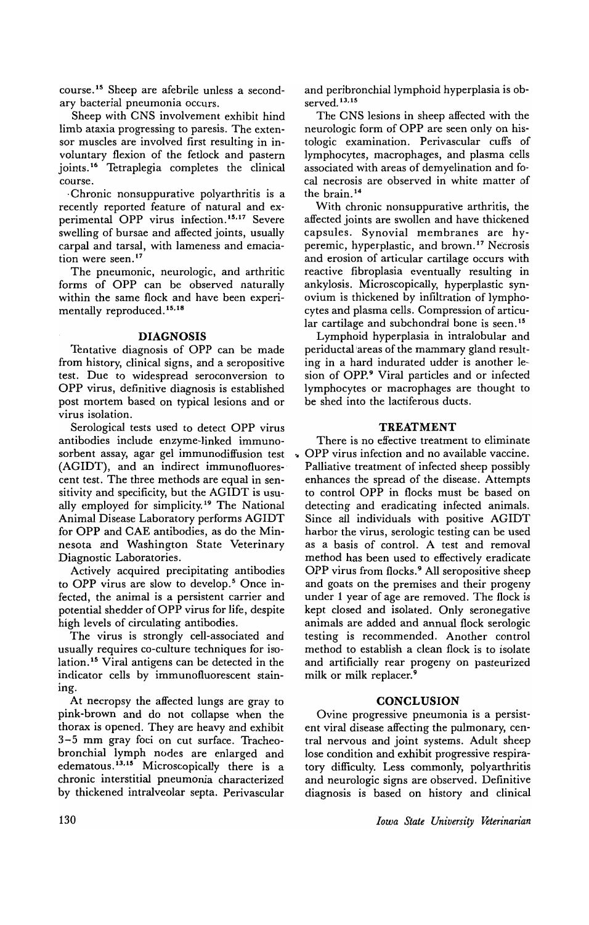course. 15 Sheep are afebrile unless a secondary bacterial pneumonia occurs.

Sheep with CNS involvement exhibit hind limb ataxia progressing to paresis. The extensor muscles are involved first resulting in involuntary flexion of the fetlock and pastern joints. 16 Tetraplegia completes the clinical course.

·Chronic non suppurative polyarthritis is a recently reported feature of natural and experimental OPP virus infection. 15.17 Severe swelling of bursae and affected joints, usually carpal and tarsal, with lameness and emaciation were seen.<sup>17</sup>

The pneumonic, neurologic, and arthritic forms of OPP can be observed naturally within the same flock and have been experimentally reproduced.<sup>15,18</sup>

#### **DIAGNOSIS**

Tentative diagnosis of OPP can be made from history, clinical signs, and a seropositive test. Due to widespread seroconversion to OPP virus, definitive diagnosis is established post mortem based on typical lesions and or virus isolation.

Serological tests used to detect OPP virus antibodies include enzyme-linked immunosorbent assay, agar gel immunodiffusion test (AGIDT), and an indirect immunofluorescent test. The three methods are equal in sensitivity and specificity, but the AGIDT is usually employed for simplicity.19 The National Animal Disease Laboratory performs AGIDT for OPP and CAE antibodies, as do the Minnesota and Washington State Veterinary Diagnostic Laboratories.

Actively acquired precipitating antibodies to OPP virus are slow to develop.<sup>5</sup> Once infected, the animal is a persistent carrier and potential shedder of OPP virus for life, despite high levels of circulating antibodies.

The virus is strongly cell-associated and usually requires co-culture techniques for isolation.<sup>15</sup> Viral antigens can be detected in the indicator cells by immunofluorescent staining.

At necropsy the affected lungs are gray to pink-brown and do not collapse when the thorax is opened. They are heavy and exhibit 3-5 mm gray foci on cut surface. Tracheobronchial lymph nodes are enlarged and edematous.<sup>13,15</sup> Microscopically there is a chronic interstitial pneumonia characterized by thickened intralveolar septa. Perivascular

and peribronchial lymphoid hyperplasia is observed. 13.15

The CNS lesions in sheep affected with the neurologic form of OPP are seen only on histologic examination. Perivascular cuffs of lymphocytes, macrophages, and plasma cells associated with areas of demyelination and focal necrosis are observed in white matter of the brain. 14

With chronic nonsuppurative arthritis, the affected joints are swollen and have thickened capsules. Synovial membranes are hyperemic, hyperplastic, and brown.<sup>17</sup> Necrosis and erosion of articular cartilage occurs with reactive fibroplasia eventually resulting in ankylosis. Microscopically, hyperplastic synovium is thickened by infiltration of lymphocytes and plasma cells. Compression of articular cartilage and subchondral bone is seen.<sup>15</sup>

Lymphoid hyperplasia in intralobular and periductal 'areas of the mammary gland resulting in a hard indurated udder is another lesion of OPP.9 Viral particles and or infected lymphocytes or macrophages are thought to be shed into the lactiferous ducts.

## **TREATMENT**

There is no effective treatment to eliminate .. OPP virus infection and no available vaccine. Palliative treatment of infected sheep possibly enhances the spread of the disease. Attempts to control OPP in flocks must be based on detecting and eradicating infected animals. Since all individuals with positive AGIDT harbor the virus, serologic testing can be used as a basis of control. A test and removal method has been used to effectively eradicate OPP virus from flocks.9 All seropositive sheep and goats on the premises and their progeny under 1 year of age are removed. The flock is kept closed and isolated. Only seronegative animals are added and annual flock serologic testing is recommended. Another control method to establish a clean flock is to isolate and artificially rear progeny on pasteurized milk or milk replacer.<sup>9</sup>

#### **CONCLUSION**

Ovine progressive pneumonia is a persistent viral disease affecting the pulmonary, central nervous and joint systems. Adult sheep lose condition and exhibit progressive respiratory difficulty. Less commonly, polyarthritis and neurologic signs are observed. Definitive diagnosis is based on history and clinical